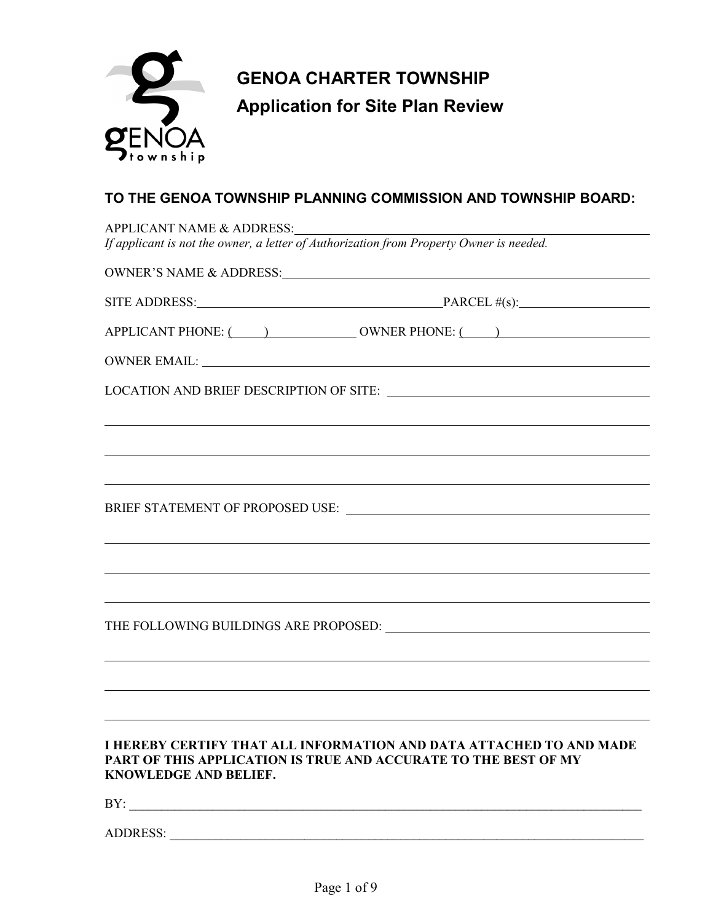

# **TO THE GENOA TOWNSHIP PLANNING COMMISSION AND TOWNSHIP BOARD:**

|                       | APPLICANT NAME & ADDRESS:<br>If applicant is not the owner, a letter of Authorization from Property Owner is needed.                   |
|-----------------------|----------------------------------------------------------------------------------------------------------------------------------------|
|                       |                                                                                                                                        |
|                       | SITE ADDRESS: PARCEL #(s):                                                                                                             |
|                       | APPLICANT PHONE: ( ) OWNER PHONE: ( )                                                                                                  |
|                       |                                                                                                                                        |
|                       |                                                                                                                                        |
|                       |                                                                                                                                        |
|                       |                                                                                                                                        |
|                       | ,我们也不会有什么。""我们的人,我们也不会有什么?""我们的人,我们也不会有什么?""我们的人,我们也不会有什么?""我们的人,我们也不会有什么?""我们的人                                                       |
|                       |                                                                                                                                        |
|                       |                                                                                                                                        |
|                       |                                                                                                                                        |
|                       |                                                                                                                                        |
|                       |                                                                                                                                        |
|                       |                                                                                                                                        |
|                       |                                                                                                                                        |
|                       |                                                                                                                                        |
| KNOWLEDGE AND BELIEF. | I HEREBY CERTIFY THAT ALL INFORMATION AND DATA ATTACHED TO AND MADE<br>PART OF THIS APPLICATION IS TRUE AND ACCURATE TO THE BEST OF MY |
|                       |                                                                                                                                        |
| ADDRESS:              |                                                                                                                                        |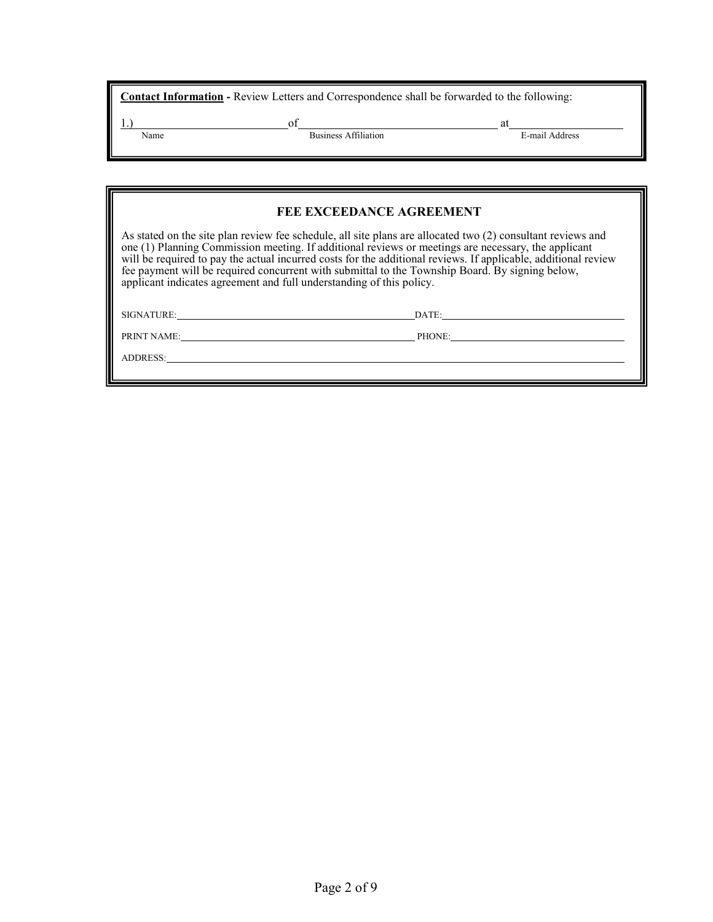| <b>Contact Information</b> - Review Letters and Correspondence shall be forwarded to the following: |                      |                      |  |  |
|-----------------------------------------------------------------------------------------------------|----------------------|----------------------|--|--|
| Name                                                                                                | Business Affiliation | at<br>E-mail Address |  |  |

| <b>FEE EXCEEDANCE AGREEMENT</b>                                                                                                                                                                                                                                                                                                                                                                                                                                                                                 |        |  |  |  |
|-----------------------------------------------------------------------------------------------------------------------------------------------------------------------------------------------------------------------------------------------------------------------------------------------------------------------------------------------------------------------------------------------------------------------------------------------------------------------------------------------------------------|--------|--|--|--|
| As stated on the site plan review fee schedule, all site plans are allocated two (2) consultant reviews and<br>one (1) Planning Commission meeting. If additional reviews or meetings are necessary, the applicant<br>will be required to pay the actual incurred costs for the additional reviews. If applicable, additional review<br>fee payment will be required concurrent with submittal to the Township Board. By signing below,<br>applicant indicates agreement and full understanding of this policy. |        |  |  |  |
| SIGNATURE:                                                                                                                                                                                                                                                                                                                                                                                                                                                                                                      | DATE:  |  |  |  |
| PRINT NAME:                                                                                                                                                                                                                                                                                                                                                                                                                                                                                                     | PHONE: |  |  |  |
| ADDRESS:                                                                                                                                                                                                                                                                                                                                                                                                                                                                                                        |        |  |  |  |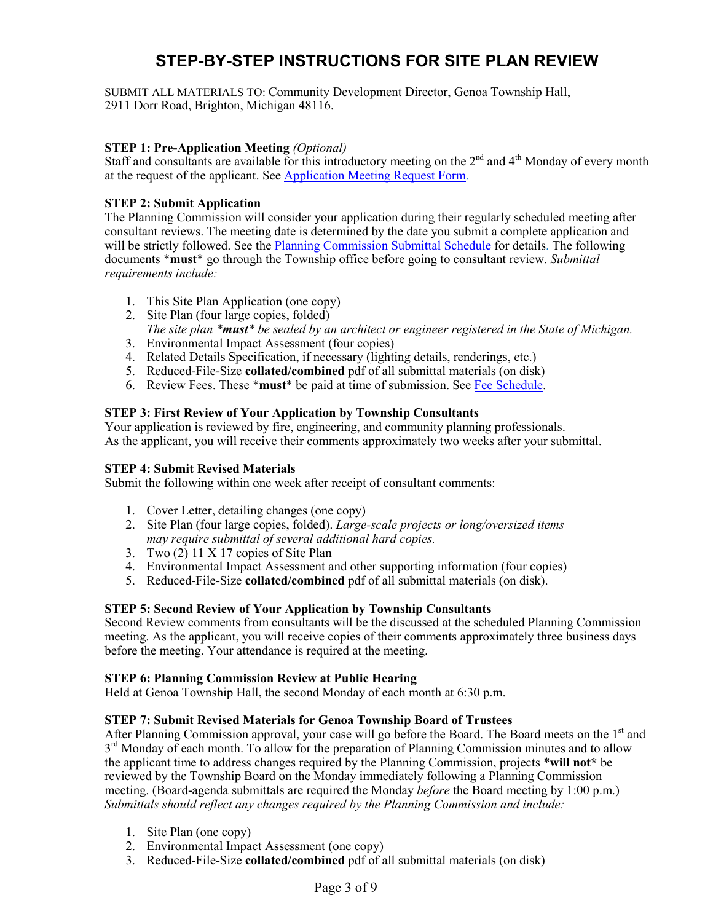# **STEP-BY-STEP INSTRUCTIONS FOR SITE PLAN REVIEW**

SUBMIT ALL MATERIALS TO: Community Development Director, Genoa Township Hall, 2911 Dorr Road, Brighton, Michigan 48116.

# **STEP 1: Pre-Application Meeting** *(Optional)*

Staff and consultants are available for this introductory meeting on the  $2<sup>nd</sup>$  and  $4<sup>th</sup>$  Monday of every month at the request of the applicant. See [Application Meeting](http://genoa.org/contentfiledata/download/1469) Request Form.

### **STEP 2: Submit Application**

The Planning Commission will consider your application during their regularly scheduled meeting after consultant reviews. The meeting date is determined by the date you submit a complete application and will be strictly followed. See the **Planning Commission Submittal Schedule** for details. The following documents \***must**\* go through the Township office before going to consultant review. *Submittal requirements include:*

- 1. This Site Plan Application (one copy)
- 2. Site Plan (four large copies, folded) *The site plan \*must\* be sealed by an architect or engineer registered in the State of Michigan.*
- 3. Environmental Impact Assessment (four copies)
- 4. Related Details Specification, if necessary (lighting details, renderings, etc.)
- 5. Reduced-File-Size **collated/combined** pdf of all submittal materials (on disk)
- 6. Review Fees. These \***must**\* be paid at time of submission. See [Fee Schedule.](http://www.genoa.org/contentfiledata/download/14)

#### **STEP 3: First Review of Your Application by Township Consultants**

Your application is reviewed by fire, engineering, and community planning professionals. As the applicant, you will receive their comments approximately two weeks after your submittal.

#### **STEP 4: Submit Revised Materials**

Submit the following within one week after receipt of consultant comments:

- 1. Cover Letter, detailing changes (one copy)
- 2. Site Plan (four large copies, folded). *Large-scale projects or long/oversized items may require submittal of several additional hard copies.*
- 3. Two  $(2)$  11 X 17 copies of Site Plan
- 4. Environmental Impact Assessment and other supporting information (four copies)
- 5. Reduced-File-Size **collated/combined** pdf of all submittal materials (on disk).

### **STEP 5: Second Review of Your Application by Township Consultants**

Second Review comments from consultants will be the discussed at the scheduled Planning Commission meeting. As the applicant, you will receive copies of their comments approximately three business days before the meeting. Your attendance is required at the meeting.

#### **STEP 6: Planning Commission Review at Public Hearing**

Held at Genoa Township Hall, the second Monday of each month at 6:30 p.m.

#### **STEP 7: Submit Revised Materials for Genoa Township Board of Trustees**

After Planning Commission approval, your case will go before the Board. The Board meets on the 1<sup>st</sup> and  $3<sup>rd</sup>$  Monday of each month. To allow for the preparation of Planning Commission minutes and to allow the applicant time to address changes required by the Planning Commission, projects \***will not\*** be reviewed by the Township Board on the Monday immediately following a Planning Commission meeting. (Board-agenda submittals are required the Monday *before* the Board meeting by 1:00 p.m.) *Submittals should reflect any changes required by the Planning Commission and include:*

- 1. Site Plan (one copy)
- 2. Environmental Impact Assessment (one copy)
- 3. Reduced-File-Size **collated/combined** pdf of all submittal materials (on disk)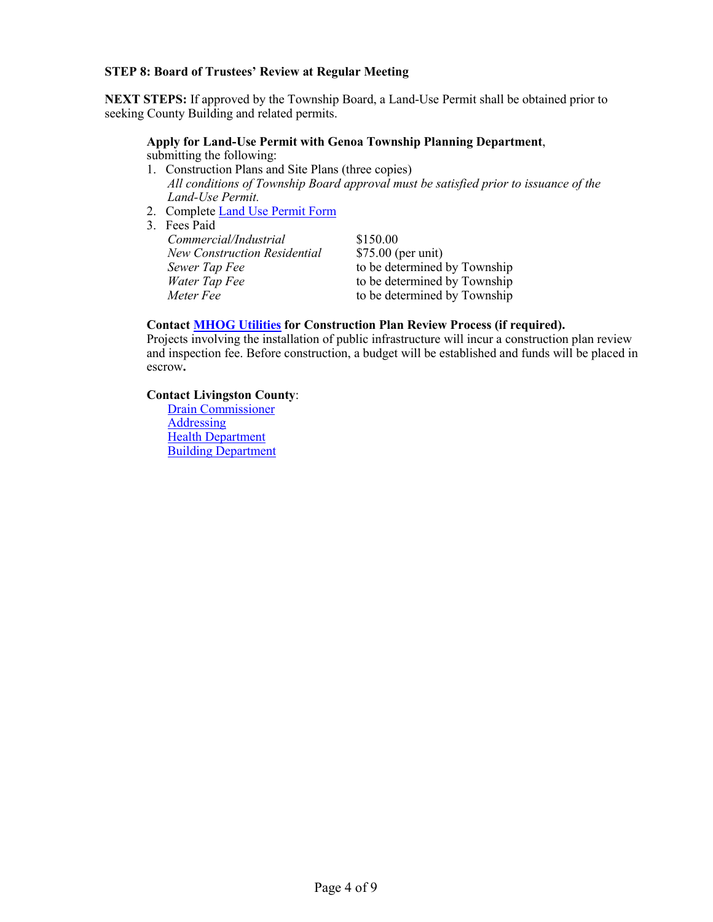### **STEP 8: Board of Trustees' Review at Regular Meeting**

**NEXT STEPS:** If approved by the Township Board, a Land-Use Permit shall be obtained prior to seeking County Building and related permits.

# **Apply for Land-Use Permit with Genoa Township Planning Department**,

submitting the following:

- 1. Construction Plans and Site Plans (three copies) *All conditions of Township Board approval must be satisfied prior to issuance of the Land-Use Permit.*
- 2. Complete [Land Use Permit Form](http://www.genoa.org/contentfiledata/download/28)
- 3. Fees Paid

| \$150.00                     |
|------------------------------|
| $$75.00$ (per unit)          |
| to be determined by Township |
| to be determined by Township |
| to be determined by Township |
|                              |

# **Contact [MHOG Utilities](http://www.genoa.org/departments/utilities) for Construction Plan Review Process (if required).**

Projects involving the installation of public infrastructure will incur a construction plan review and inspection fee. Before construction, a budget will be established and funds will be placed in escrow**.** 

# **Contact Livingston County**:

[Drain Commissioner](http://www.livgov.com/drain/Pages/default.aspx) **[Addressing](http://www.livgov.com/gis/Pages/Addressing.aspx)** [Health Department](http://www.livgov.com/health/eh/Pages/default.aspx) [Building Department](http://www.livgov.com/building/Pages/default.aspx)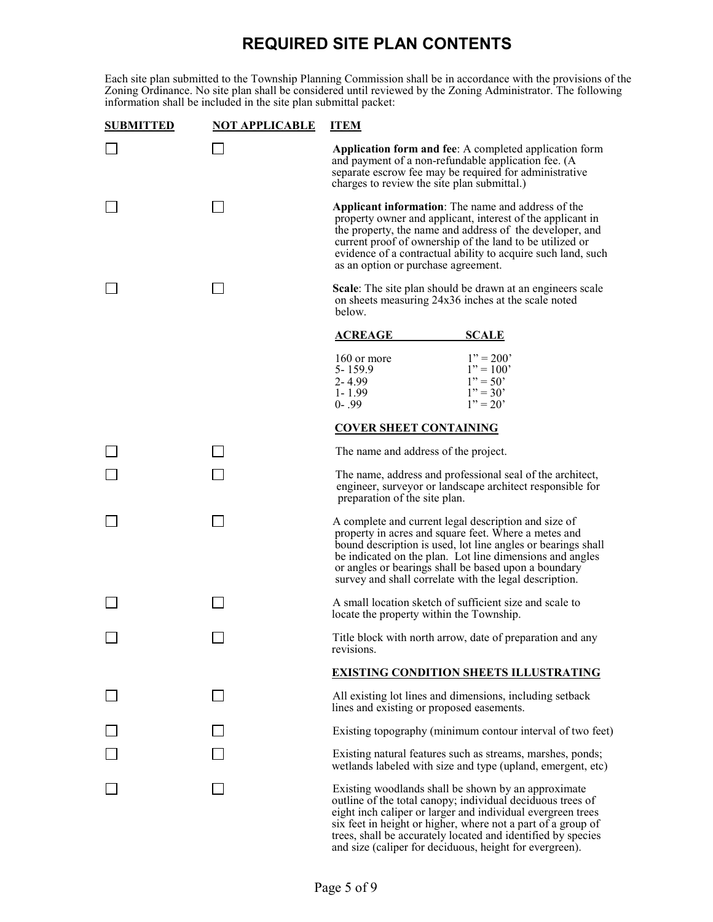# **REQUIRED SITE PLAN CONTENTS**

Each site plan submitted to the Township Planning Commission shall be in accordance with the provisions of the Zoning Ordinance. No site plan shall be considered until reviewed by the Zoning Administrator. The following information shall be included in the site plan submittal packet:

| <b>SUBMITTED</b> | <b>NOT APPLICABLE</b> | <b>ITEM</b>                                                                                                                                                                                                                                                                                                                                                |  |  |
|------------------|-----------------------|------------------------------------------------------------------------------------------------------------------------------------------------------------------------------------------------------------------------------------------------------------------------------------------------------------------------------------------------------------|--|--|
|                  |                       | Application form and fee: A completed application form<br>and payment of a non-refundable application fee. (A<br>separate escrow fee may be required for administrative<br>charges to review the site plan submittal.)                                                                                                                                     |  |  |
|                  |                       | Applicant information: The name and address of the<br>property owner and applicant, interest of the applicant in<br>the property, the name and address of the developer, and<br>current proof of ownership of the land to be utilized or<br>evidence of a contractual ability to acquire such land, such<br>as an option or purchase agreement.            |  |  |
|                  |                       | <b>Scale:</b> The site plan should be drawn at an engineers scale<br>on sheets measuring 24x36 inches at the scale noted<br>below.                                                                                                                                                                                                                         |  |  |
|                  |                       | <b>SCALE</b><br><u>ACREAGE</u>                                                                                                                                                                                                                                                                                                                             |  |  |
|                  |                       | $1" = 200"$<br>160 or more<br>$5 - 159.9$<br>$1" = 100"$<br>$1" = 50"$<br>$2 - 4.99$<br>$1" = 30"$<br>$1 - 1.99$<br>$0 - .99$<br>$1" = 20"$                                                                                                                                                                                                                |  |  |
|                  |                       | <b>COVER SHEET CONTAINING</b>                                                                                                                                                                                                                                                                                                                              |  |  |
|                  |                       | The name and address of the project.                                                                                                                                                                                                                                                                                                                       |  |  |
|                  |                       | The name, address and professional seal of the architect,<br>engineer, surveyor or landscape architect responsible for<br>preparation of the site plan.                                                                                                                                                                                                    |  |  |
|                  |                       | A complete and current legal description and size of<br>property in acres and square feet. Where a metes and<br>bound description is used, lot line angles or bearings shall<br>be indicated on the plan. Lot line dimensions and angles<br>or angles or bearings shall be based upon a boundary<br>survey and shall correlate with the legal description. |  |  |
|                  |                       | A small location sketch of sufficient size and scale to<br>locate the property within the Township.                                                                                                                                                                                                                                                        |  |  |
|                  |                       | Title block with north arrow, date of preparation and any<br>revisions.                                                                                                                                                                                                                                                                                    |  |  |
|                  |                       | <b>EXISTING CONDITION SHEETS ILLUSTRATING</b>                                                                                                                                                                                                                                                                                                              |  |  |
|                  |                       | All existing lot lines and dimensions, including setback<br>lines and existing or proposed easements.                                                                                                                                                                                                                                                      |  |  |
|                  |                       | Existing topography (minimum contour interval of two feet)                                                                                                                                                                                                                                                                                                 |  |  |
|                  |                       | Existing natural features such as streams, marshes, ponds;<br>wetlands labeled with size and type (upland, emergent, etc)                                                                                                                                                                                                                                  |  |  |
|                  |                       | Existing woodlands shall be shown by an approximate<br>outline of the total canopy; individual deciduous trees of<br>eight inch caliper or larger and individual evergreen trees<br>six feet in height or higher, where not a part of a group of                                                                                                           |  |  |

 trees, shall be accurately located and identified by species and size (caliper for deciduous, height for evergreen).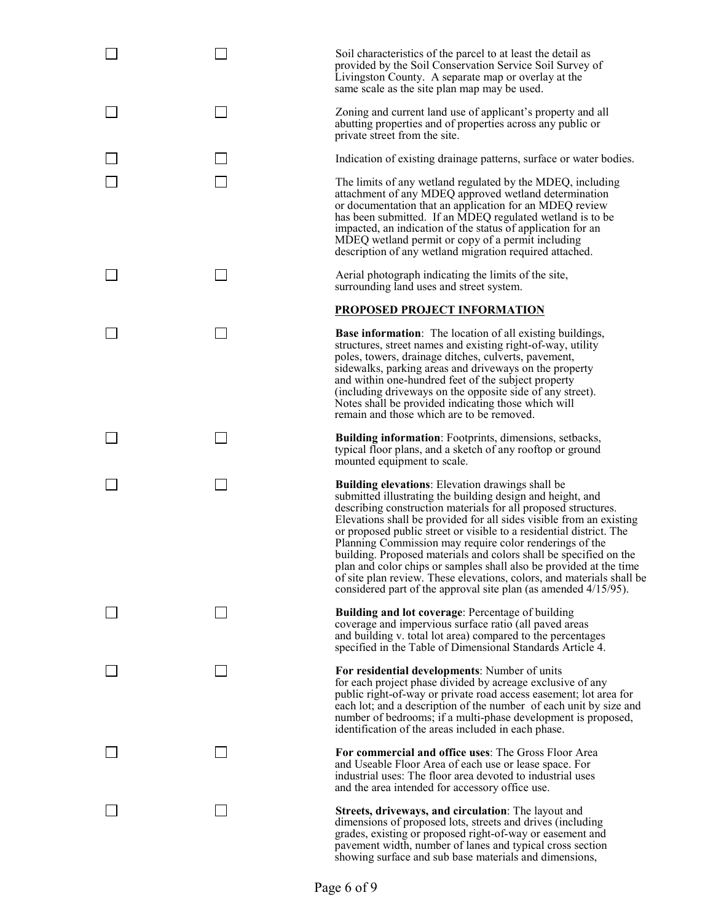Soil characteristics of the parcel to at least the detail as provided by the Soil Conservation Service Soil Survey of Livingston County. A separate map or overlay at the same scale as the site plan map may be used.

 Zoning and current land use of applicant's property and all abutting properties and of properties across any public or private street from the site.

Indication of existing drainage patterns, surface or water bodies.

 $\Box$  The limits of any wetland regulated by the MDEQ, including attachment of any MDEQ approved wetland determination or documentation that an application for an MDEQ review has been submitted. If an MDEQ regulated wetland is to be impacted, an indication of the status of application for an MDEQ wetland permit or copy of a permit including description of any wetland migration required attached.

 $\Box$  Aerial photograph indicating the limits of the site, surrounding land uses and street system.

#### **PROPOSED PROJECT INFORMATION**

**Base information**: The location of all existing buildings, structures, street names and existing right-of-way, utility poles, towers, drainage ditches, culverts, pavement, sidewalks, parking areas and driveways on the property and within one-hundred feet of the subject property (including driveways on the opposite side of any street). Notes shall be provided indicating those which will remain and those which are to be removed.

**Building information**: Footprints, dimensions, setbacks, typical floor plans, and a sketch of any rooftop or ground mounted equipment to scale.

**Building elevations**: Elevation drawings shall be submitted illustrating the building design and height, and describing construction materials for all proposed structures. Elevations shall be provided for all sides visible from an existing or proposed public street or visible to a residential district. The Planning Commission may require color renderings of the building. Proposed materials and colors shall be specified on the plan and color chips or samples shall also be provided at the time of site plan review. These elevations, colors, and materials shall be considered part of the approval site plan (as amended 4/15/95).

**Building and lot coverage**: Percentage of building coverage and impervious surface ratio (all paved areas and building v. total lot area) compared to the percentages specified in the Table of Dimensional Standards Article 4.

 **For residential developments**: Number of units for each project phase divided by acreage exclusive of any public right-of-way or private road access easement; lot area for each lot; and a description of the number of each unit by size and number of bedrooms; if a multi-phase development is proposed, identification of the areas included in each phase.

 **For commercial and office uses**: The Gross Floor Area and Useable Floor Area of each use or lease space. For industrial uses: The floor area devoted to industrial uses and the area intended for accessory office use.

 **Streets, driveways, and circulation**: The layout and dimensions of proposed lots, streets and drives (including grades, existing or proposed right-of-way or easement and showing surface and sub base materials and dimensions,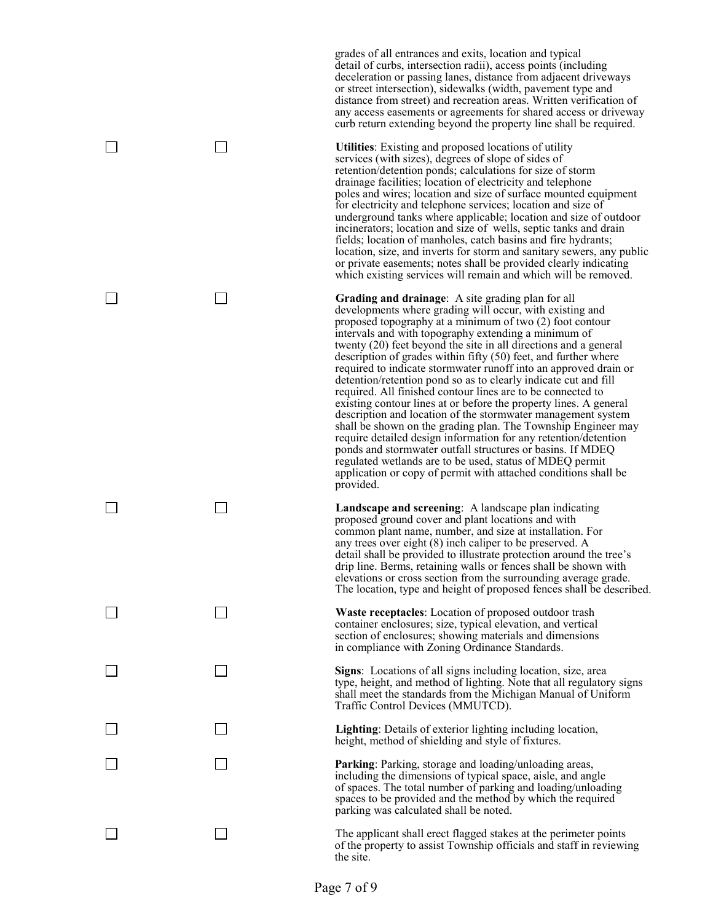grades of all entrances and exits, location and typical detail of curbs, intersection radii), access points (including deceleration or passing lanes, distance from adjacent driveways or street intersection), sidewalks (width, pavement type and distance from street) and recreation areas. Written verification of any access easements or agreements for shared access or driveway curb return extending beyond the property line shall be required.

□ **□** Utilities: Existing and proposed locations of utility services (with sizes), degrees of slope of sides of retention/detention ponds; calculations for size of storm drainage facilities; location of electricity and telephone poles and wires; location and size of surface mounted equipment for electricity and telephone services; location and size of underground tanks where applicable; location and size of outdoor incinerators; location and size of wells, septic tanks and drain fields; location of manholes, catch basins and fire hydrants; location, size, and inverts for storm and sanitary sewers, any public or private easements; notes shall be provided clearly indicating which existing services will remain and which will be removed.

Grading and drainage: A site grading plan for all developments where grading will occur, with existing and developments where grading will occur, with existing and proposed topography at a minimum of two (2) foot contour intervals and with topography extending a minimum of twenty (20) feet beyond the site in all directions and a general description of grades within fifty (50) feet, and further where required to indicate stormwater runoff into an approved drain or detention/retention pond so as to clearly indicate cut and fill required. All finished contour lines are to be connected to existing contour lines at or before the property lines. A general description and location of the stormwater management system shall be shown on the grading plan. The Township Engineer may require detailed design information for any retention/detention ponds and stormwater outfall structures or basins. If MDEQ regulated wetlands are to be used, status of MDEQ permit application or copy of permit with attached conditions shall be provided.

**Landscape and screening**: A landscape plan indicating proposed ground cover and plant locations and with common plant name, number, and size at installation. For any trees over eight (8) inch caliper to be preserved. A detail shall be provided to illustrate protection around the tree's drip line. Berms, retaining walls or fences shall be shown with elevations or cross section from the surrounding average grade. The location, type and height of proposed fences shall be described.

□ **Waste receptacles**: Location of proposed outdoor trash container enclosures; size, typical elevation, and vertical section of enclosures; showing materials and dimensions in compliance with Zoning Ordinance Standards.

 **Signs**: Locations of all signs including location, size, area type, height, and method of lighting. Note that all regulatory signs shall meet the standards from the Michigan Manual of Uniform Traffic Control Devices (MMUTCD).

□ **Lighting**: Details of exterior lighting including location, height, method of shielding and style of fixtures.

**Parking**: Parking, storage and loading/unloading areas, including the dimensions of typical space, aisle, and angle of spaces. The total number of parking and loading/unloading spaces to be provided and the method by which the required parking was calculated shall be noted.

The applicant shall erect flagged stakes at the perimeter points of the property to assist Township officials and staff in reviewing the site.

| Page 7 of 9 |  |  |
|-------------|--|--|

 $\overline{a}$ 

 $\overline{a}$ 

l,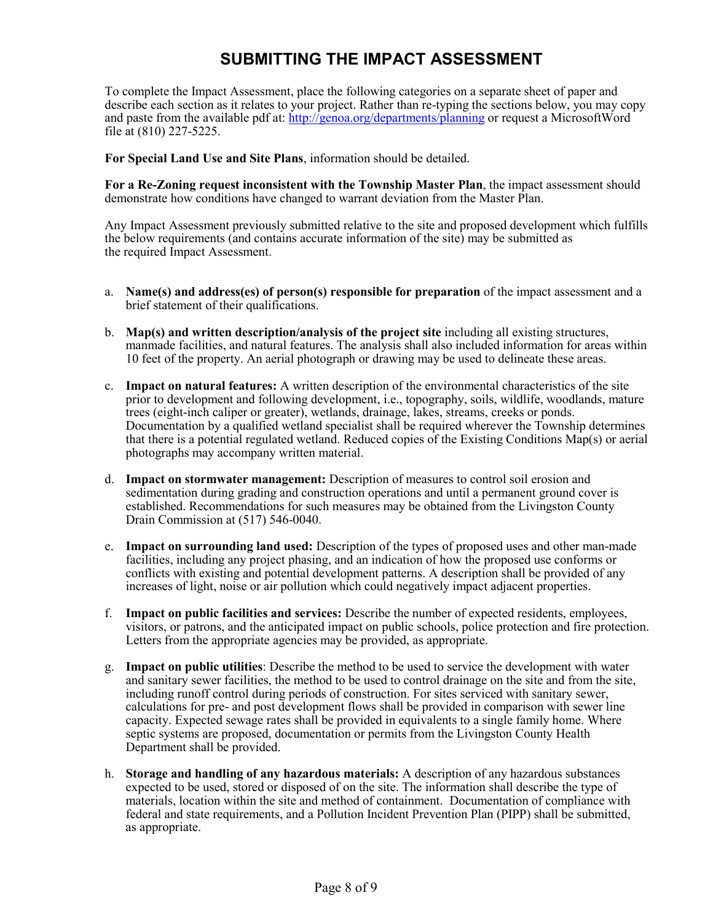# **SUBMITTING THE IMPACT ASSESSMENT**

To complete the Impact Assessment, place the following categories on a separate sheet of paper and describe each section as it relates to your project. Rather than re-typing the sections below, you may copy and paste from the available pdf at:<http://genoa.org/departments/planning> or request a MicrosoftWord file at (810) 227-5225.

**For Special Land Use and Site Plans**, information should be detailed.

**For a Re-Zoning request inconsistent with the Township Master Plan**, the impact assessment should demonstrate how conditions have changed to warrant deviation from the Master Plan.

Any Impact Assessment previously submitted relative to the site and proposed development which fulfills the below requirements (and contains accurate information of the site) may be submitted as the required Impact Assessment.

- a. **Name(s) and address(es) of person(s) responsible for preparation** of the impact assessment and a brief statement of their qualifications.
- b. **Map(s) and written description/analysis of the project site** including all existing structures, manmade facilities, and natural features. The analysis shall also included information for areas within 10 feet of the property. An aerial photograph or drawing may be used to delineate these areas.
- c. **Impact on natural features:** A written description of the environmental characteristics of the site prior to development and following development, i.e., topography, soils, wildlife, woodlands, mature trees (eight-inch caliper or greater), wetlands, drainage, lakes, streams, creeks or ponds. Documentation by a qualified wetland specialist shall be required wherever the Township determines that there is a potential regulated wetland. Reduced copies of the Existing Conditions Map(s) or aerial photographs may accompany written material.
- d. **Impact on stormwater management:** Description of measures to control soil erosion and sedimentation during grading and construction operations and until a permanent ground cover is established. Recommendations for such measures may be obtained from the Livingston County Drain Commission at (517) 546-0040.
- e. **Impact on surrounding land used:** Description of the types of proposed uses and other man-made facilities, including any project phasing, and an indication of how the proposed use conforms or conflicts with existing and potential development patterns. A description shall be provided of any increases of light, noise or air pollution which could negatively impact adjacent properties.
- f. **Impact on public facilities and services:** Describe the number of expected residents, employees, visitors, or patrons, and the anticipated impact on public schools, police protection and fire protection. Letters from the appropriate agencies may be provided, as appropriate.
- g. **Impact on public utilities**: Describe the method to be used to service the development with water and sanitary sewer facilities, the method to be used to control drainage on the site and from the site, including runoff control during periods of construction. For sites serviced with sanitary sewer, calculations for pre- and post development flows shall be provided in comparison with sewer line capacity. Expected sewage rates shall be provided in equivalents to a single family home. Where septic systems are proposed, documentation or permits from the Livingston County Health Department shall be provided.
- h. **Storage and handling of any hazardous materials:** A description of any hazardous substances expected to be used, stored or disposed of on the site. The information shall describe the type of materials, location within the site and method of containment. Documentation of compliance with federal and state requirements, and a Pollution Incident Prevention Plan (PIPP) shall be submitted, as appropriate.